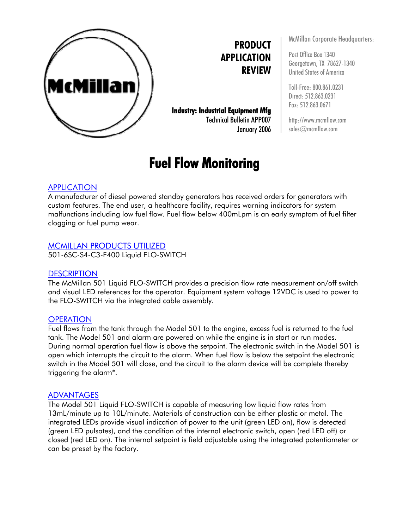

**PRODUCT APPLICATION REVIEW**

**Industry: Industrial Equipment Mfg**  Technical Bulletin APP007 January 2006

# **Fuel Flow Monitoring**

McMillan Corporate Headquarters:

Post Office Box 1340 Georgetown, TX 78627-1340 United States of America

Toll-Free: 800.861.0231 Direct: 512.863.0231 Fax: 512.863.0671

http://www.mcmflow.com sales@mcmflow.com

## APPLICATION

A manufacturer of diesel powered standby generators has received orders for generators with custom features. The end user, a healthcare facility, requires warning indicators for system malfunctions including low fuel flow. Fuel flow below 400mLpm is an early symptom of fuel filter clogging or fuel pump wear.

#### MCMILLAN PRODUCTS UTILIZED

501-6SC-S4-C3-F400 Liquid FLO-SWITCH

#### **DESCRIPTION**

The McMillan 501 Liquid FLO-SWITCH provides a precision flow rate measurement on/off switch and visual LED references for the operator. Equipment system voltage 12VDC is used to power to the FLO-SWITCH via the integrated cable assembly.

#### **OPERATION**

Fuel flows from the tank through the Model 501 to the engine, excess fuel is returned to the fuel tank. The Model 501 and alarm are powered on while the engine is in start or run modes. During normal operation fuel flow is above the setpoint. The electronic switch in the Model 501 is open which interrupts the circuit to the alarm. When fuel flow is below the setpoint the electronic switch in the Model 501 will close, and the circuit to the alarm device will be complete thereby triggering the alarm\*.

#### ADVANTAGES

The Model 501 Liquid FLO-SWITCH is capable of measuring low liquid flow rates from 13mL/minute up to 10L/minute. Materials of construction can be either plastic or metal. The integrated LEDs provide visual indication of power to the unit (green LED on), flow is detected (green LED pulsates), and the condition of the internal electronic switch, open (red LED off) or closed (red LED on). The internal setpoint is field adjustable using the integrated potentiometer or can be preset by the factory.